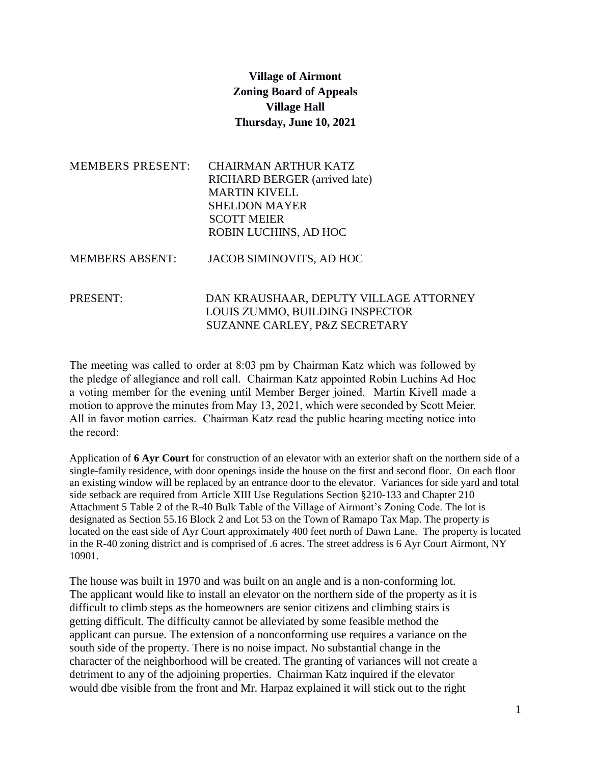## **Village of Airmont Zoning Board of Appeals Village Hall Thursday, June 10, 2021**

| <b>MEMBERS PRESENT:</b> | <b>CHAIRMAN ARTHUR KATZ</b>            |
|-------------------------|----------------------------------------|
|                         | <b>RICHARD BERGER</b> (arrived late)   |
|                         | <b>MARTIN KIVELL</b>                   |
|                         | <b>SHELDON MAYER</b>                   |
|                         | <b>SCOTT MEIER</b>                     |
|                         | ROBIN LUCHINS, AD HOC                  |
| <b>MEMBERS ABSENT:</b>  | JACOB SIMINOVITS, AD HOC               |
| PRESENT:                | DAN KRAUSHAAR, DEPUTY VILLAGE ATTORNEY |
|                         | LOUIS ZUMMO, BUILDING INSPECTOR        |
|                         | SUZANNE CARLEY, P&Z SECRETARY          |

The meeting was called to order at 8:03 pm by Chairman Katz which was followed by the pledge of allegiance and roll call. Chairman Katz appointed Robin Luchins Ad Hoc a voting member for the evening until Member Berger joined. Martin Kivell made a motion to approve the minutes from May 13, 2021, which were seconded by Scott Meier. All in favor motion carries. Chairman Katz read the public hearing meeting notice into the record:

Application of **6 Ayr Court** for construction of an elevator with an exterior shaft on the northern side of a single-family residence, with door openings inside the house on the first and second floor. On each floor an existing window will be replaced by an entrance door to the elevator. Variances for side yard and total side setback are required from Article XIII Use Regulations Section §210-133 and Chapter 210 Attachment 5 Table 2 of the R-40 Bulk Table of the Village of Airmont's Zoning Code. The lot is designated as Section 55.16 Block 2 and Lot 53 on the Town of Ramapo Tax Map. The property is located on the east side of Ayr Court approximately 400 feet north of Dawn Lane. The property is located in the R-40 zoning district and is comprised of .6 acres. The street address is 6 Ayr Court Airmont, NY 10901.

The house was built in 1970 and was built on an angle and is a non-conforming lot. The applicant would like to install an elevator on the northern side of the property as it is difficult to climb steps as the homeowners are senior citizens and climbing stairs is getting difficult. The difficulty cannot be alleviated by some feasible method the applicant can pursue. The extension of a nonconforming use requires a variance on the south side of the property. There is no noise impact. No substantial change in the character of the neighborhood will be created. The granting of variances will not create a detriment to any of the adjoining properties. Chairman Katz inquired if the elevator would dbe visible from the front and Mr. Harpaz explained it will stick out to the right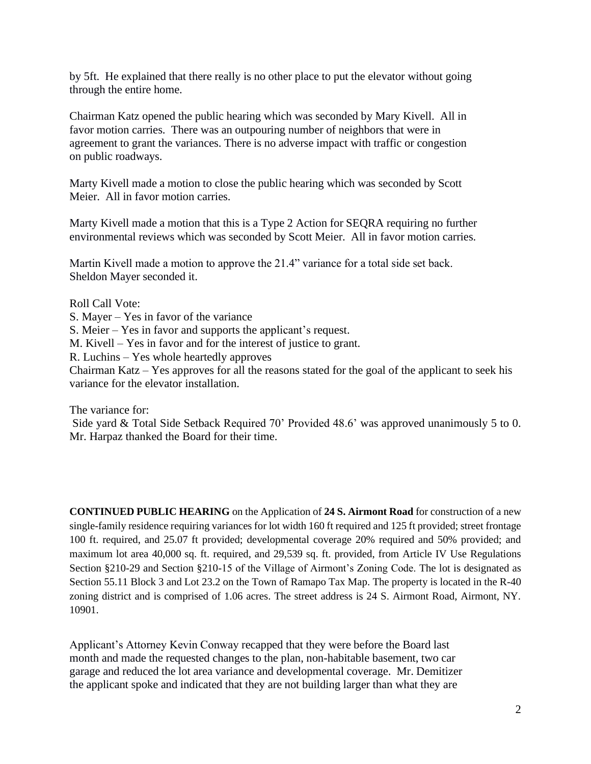by 5ft. He explained that there really is no other place to put the elevator without going through the entire home.

Chairman Katz opened the public hearing which was seconded by Mary Kivell. All in favor motion carries. There was an outpouring number of neighbors that were in agreement to grant the variances. There is no adverse impact with traffic or congestion on public roadways.

Marty Kivell made a motion to close the public hearing which was seconded by Scott Meier. All in favor motion carries.

Marty Kivell made a motion that this is a Type 2 Action for SEQRA requiring no further environmental reviews which was seconded by Scott Meier. All in favor motion carries.

Martin Kivell made a motion to approve the 21.4" variance for a total side set back. Sheldon Mayer seconded it.

Roll Call Vote:

S. Mayer – Yes in favor of the variance

S. Meier – Yes in favor and supports the applicant's request.

M. Kivell – Yes in favor and for the interest of justice to grant.

R. Luchins – Yes whole heartedly approves

Chairman Katz – Yes approves for all the reasons stated for the goal of the applicant to seek his variance for the elevator installation.

The variance for:

Side yard & Total Side Setback Required 70' Provided 48.6' was approved unanimously 5 to 0. Mr. Harpaz thanked the Board for their time.

**CONTINUED PUBLIC HEARING** on the Application of **24 S. Airmont Road** for construction of a new single-family residence requiring variances for lot width 160 ft required and 125 ft provided; street frontage 100 ft. required, and 25.07 ft provided; developmental coverage 20% required and 50% provided; and maximum lot area 40,000 sq. ft. required, and 29,539 sq. ft. provided, from Article IV Use Regulations Section §210-29 and Section §210-15 of the Village of Airmont's Zoning Code. The lot is designated as Section 55.11 Block 3 and Lot 23.2 on the Town of Ramapo Tax Map. The property is located in the R-40 zoning district and is comprised of 1.06 acres. The street address is 24 S. Airmont Road, Airmont, NY. 10901.

Applicant's Attorney Kevin Conway recapped that they were before the Board last month and made the requested changes to the plan, non-habitable basement, two car garage and reduced the lot area variance and developmental coverage. Mr. Demitizer the applicant spoke and indicated that they are not building larger than what they are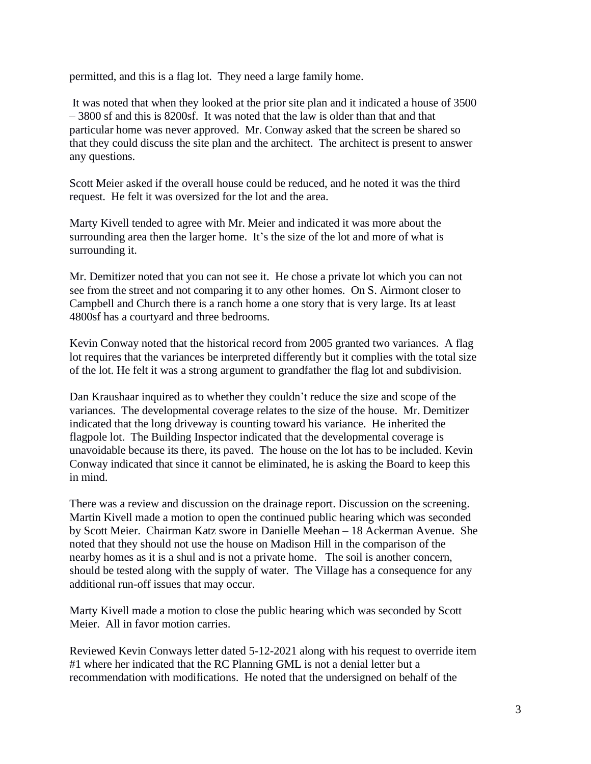permitted, and this is a flag lot. They need a large family home.

It was noted that when they looked at the prior site plan and it indicated a house of 3500 – 3800 sf and this is 8200sf. It was noted that the law is older than that and that particular home was never approved. Mr. Conway asked that the screen be shared so that they could discuss the site plan and the architect. The architect is present to answer any questions.

Scott Meier asked if the overall house could be reduced, and he noted it was the third request. He felt it was oversized for the lot and the area.

Marty Kivell tended to agree with Mr. Meier and indicated it was more about the surrounding area then the larger home. It's the size of the lot and more of what is surrounding it.

Mr. Demitizer noted that you can not see it. He chose a private lot which you can not see from the street and not comparing it to any other homes. On S. Airmont closer to Campbell and Church there is a ranch home a one story that is very large. Its at least 4800sf has a courtyard and three bedrooms.

Kevin Conway noted that the historical record from 2005 granted two variances. A flag lot requires that the variances be interpreted differently but it complies with the total size of the lot. He felt it was a strong argument to grandfather the flag lot and subdivision.

Dan Kraushaar inquired as to whether they couldn't reduce the size and scope of the variances. The developmental coverage relates to the size of the house. Mr. Demitizer indicated that the long driveway is counting toward his variance. He inherited the flagpole lot. The Building Inspector indicated that the developmental coverage is unavoidable because its there, its paved. The house on the lot has to be included. Kevin Conway indicated that since it cannot be eliminated, he is asking the Board to keep this in mind.

There was a review and discussion on the drainage report. Discussion on the screening. Martin Kivell made a motion to open the continued public hearing which was seconded by Scott Meier. Chairman Katz swore in Danielle Meehan – 18 Ackerman Avenue. She noted that they should not use the house on Madison Hill in the comparison of the nearby homes as it is a shul and is not a private home. The soil is another concern, should be tested along with the supply of water. The Village has a consequence for any additional run-off issues that may occur.

Marty Kivell made a motion to close the public hearing which was seconded by Scott Meier. All in favor motion carries.

Reviewed Kevin Conways letter dated 5-12-2021 along with his request to override item #1 where her indicated that the RC Planning GML is not a denial letter but a recommendation with modifications. He noted that the undersigned on behalf of the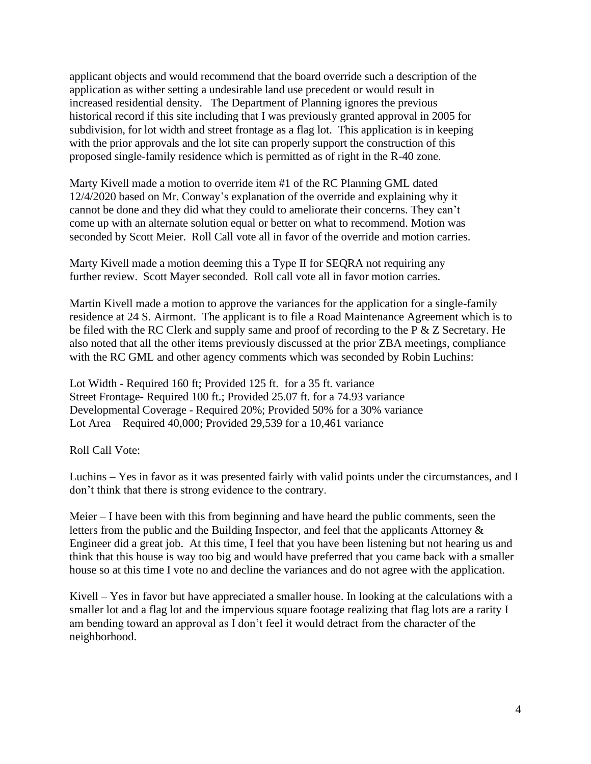applicant objects and would recommend that the board override such a description of the application as wither setting a undesirable land use precedent or would result in increased residential density. The Department of Planning ignores the previous historical record if this site including that I was previously granted approval in 2005 for subdivision, for lot width and street frontage as a flag lot. This application is in keeping with the prior approvals and the lot site can properly support the construction of this proposed single-family residence which is permitted as of right in the R-40 zone.

Marty Kivell made a motion to override item #1 of the RC Planning GML dated 12/4/2020 based on Mr. Conway's explanation of the override and explaining why it cannot be done and they did what they could to ameliorate their concerns. They can't come up with an alternate solution equal or better on what to recommend. Motion was seconded by Scott Meier. Roll Call vote all in favor of the override and motion carries.

Marty Kivell made a motion deeming this a Type II for SEQRA not requiring any further review. Scott Mayer seconded. Roll call vote all in favor motion carries.

Martin Kivell made a motion to approve the variances for the application for a single-family residence at 24 S. Airmont. The applicant is to file a Road Maintenance Agreement which is to be filed with the RC Clerk and supply same and proof of recording to the P & Z Secretary. He also noted that all the other items previously discussed at the prior ZBA meetings, compliance with the RC GML and other agency comments which was seconded by Robin Luchins:

Lot Width - Required 160 ft; Provided 125 ft. for a 35 ft. variance Street Frontage- Required 100 ft.; Provided 25.07 ft. for a 74.93 variance Developmental Coverage - Required 20%; Provided 50% for a 30% variance Lot Area – Required 40,000; Provided 29,539 for a 10,461 variance

Roll Call Vote:

Luchins – Yes in favor as it was presented fairly with valid points under the circumstances, and I don't think that there is strong evidence to the contrary.

Meier – I have been with this from beginning and have heard the public comments, seen the letters from the public and the Building Inspector, and feel that the applicants Attorney & Engineer did a great job. At this time, I feel that you have been listening but not hearing us and think that this house is way too big and would have preferred that you came back with a smaller house so at this time I vote no and decline the variances and do not agree with the application.

Kivell – Yes in favor but have appreciated a smaller house. In looking at the calculations with a smaller lot and a flag lot and the impervious square footage realizing that flag lots are a rarity I am bending toward an approval as I don't feel it would detract from the character of the neighborhood.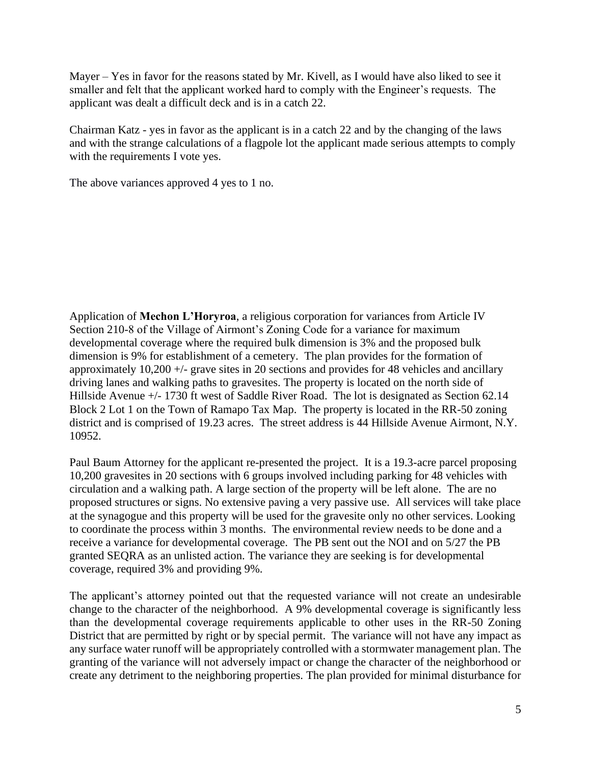Mayer – Yes in favor for the reasons stated by Mr. Kivell, as I would have also liked to see it smaller and felt that the applicant worked hard to comply with the Engineer's requests. The applicant was dealt a difficult deck and is in a catch 22.

Chairman Katz - yes in favor as the applicant is in a catch 22 and by the changing of the laws and with the strange calculations of a flagpole lot the applicant made serious attempts to comply with the requirements I vote yes.

The above variances approved 4 yes to 1 no.

Application of **Mechon L'Horyroa**, a religious corporation for variances from Article IV Section 210-8 of the Village of Airmont's Zoning Code for a variance for maximum developmental coverage where the required bulk dimension is 3% and the proposed bulk dimension is 9% for establishment of a cemetery. The plan provides for the formation of approximately 10,200 +/- grave sites in 20 sections and provides for 48 vehicles and ancillary driving lanes and walking paths to gravesites. The property is located on the north side of Hillside Avenue +/- 1730 ft west of Saddle River Road. The lot is designated as Section 62.14 Block 2 Lot 1 on the Town of Ramapo Tax Map. The property is located in the RR-50 zoning district and is comprised of 19.23 acres. The street address is 44 Hillside Avenue Airmont, N.Y. 10952.

Paul Baum Attorney for the applicant re-presented the project. It is a 19.3-acre parcel proposing 10,200 gravesites in 20 sections with 6 groups involved including parking for 48 vehicles with circulation and a walking path. A large section of the property will be left alone. The are no proposed structures or signs. No extensive paving a very passive use. All services will take place at the synagogue and this property will be used for the gravesite only no other services. Looking to coordinate the process within 3 months. The environmental review needs to be done and a receive a variance for developmental coverage. The PB sent out the NOI and on 5/27 the PB granted SEQRA as an unlisted action. The variance they are seeking is for developmental coverage, required 3% and providing 9%.

The applicant's attorney pointed out that the requested variance will not create an undesirable change to the character of the neighborhood. A 9% developmental coverage is significantly less than the developmental coverage requirements applicable to other uses in the RR-50 Zoning District that are permitted by right or by special permit. The variance will not have any impact as any surface water runoff will be appropriately controlled with a stormwater management plan. The granting of the variance will not adversely impact or change the character of the neighborhood or create any detriment to the neighboring properties. The plan provided for minimal disturbance for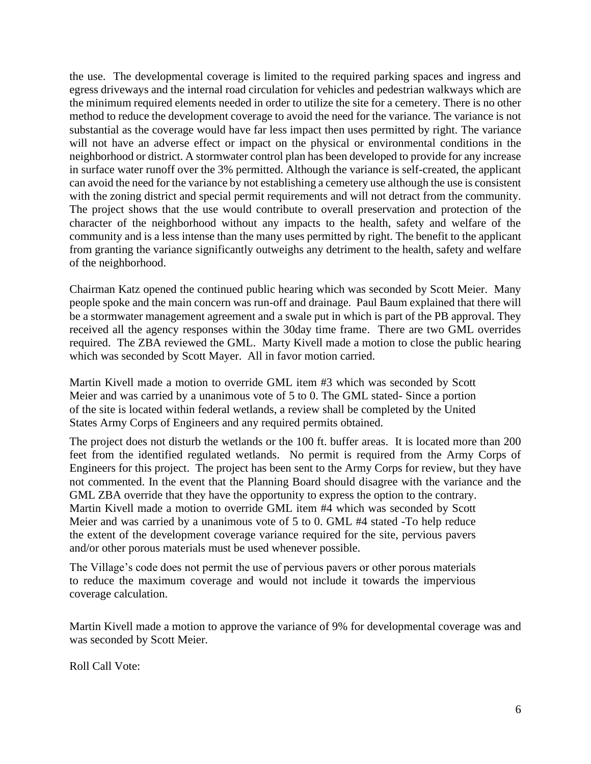the use. The developmental coverage is limited to the required parking spaces and ingress and egress driveways and the internal road circulation for vehicles and pedestrian walkways which are the minimum required elements needed in order to utilize the site for a cemetery. There is no other method to reduce the development coverage to avoid the need for the variance. The variance is not substantial as the coverage would have far less impact then uses permitted by right. The variance will not have an adverse effect or impact on the physical or environmental conditions in the neighborhood or district. A stormwater control plan has been developed to provide for any increase in surface water runoff over the 3% permitted. Although the variance is self-created, the applicant can avoid the need for the variance by not establishing a cemetery use although the use is consistent with the zoning district and special permit requirements and will not detract from the community. The project shows that the use would contribute to overall preservation and protection of the character of the neighborhood without any impacts to the health, safety and welfare of the community and is a less intense than the many uses permitted by right. The benefit to the applicant from granting the variance significantly outweighs any detriment to the health, safety and welfare of the neighborhood.

Chairman Katz opened the continued public hearing which was seconded by Scott Meier. Many people spoke and the main concern was run-off and drainage. Paul Baum explained that there will be a stormwater management agreement and a swale put in which is part of the PB approval. They received all the agency responses within the 30day time frame. There are two GML overrides required. The ZBA reviewed the GML. Marty Kivell made a motion to close the public hearing which was seconded by Scott Mayer. All in favor motion carried.

Martin Kivell made a motion to override GML item #3 which was seconded by Scott Meier and was carried by a unanimous vote of 5 to 0. The GML stated- Since a portion of the site is located within federal wetlands, a review shall be completed by the United States Army Corps of Engineers and any required permits obtained.

The project does not disturb the wetlands or the 100 ft. buffer areas. It is located more than 200 feet from the identified regulated wetlands. No permit is required from the Army Corps of Engineers for this project. The project has been sent to the Army Corps for review, but they have not commented. In the event that the Planning Board should disagree with the variance and the GML ZBA override that they have the opportunity to express the option to the contrary. Martin Kivell made a motion to override GML item #4 which was seconded by Scott Meier and was carried by a unanimous vote of 5 to 0. GML #4 stated -To help reduce the extent of the development coverage variance required for the site, pervious pavers and/or other porous materials must be used whenever possible.

The Village's code does not permit the use of pervious pavers or other porous materials to reduce the maximum coverage and would not include it towards the impervious coverage calculation.

Martin Kivell made a motion to approve the variance of 9% for developmental coverage was and was seconded by Scott Meier.

Roll Call Vote: